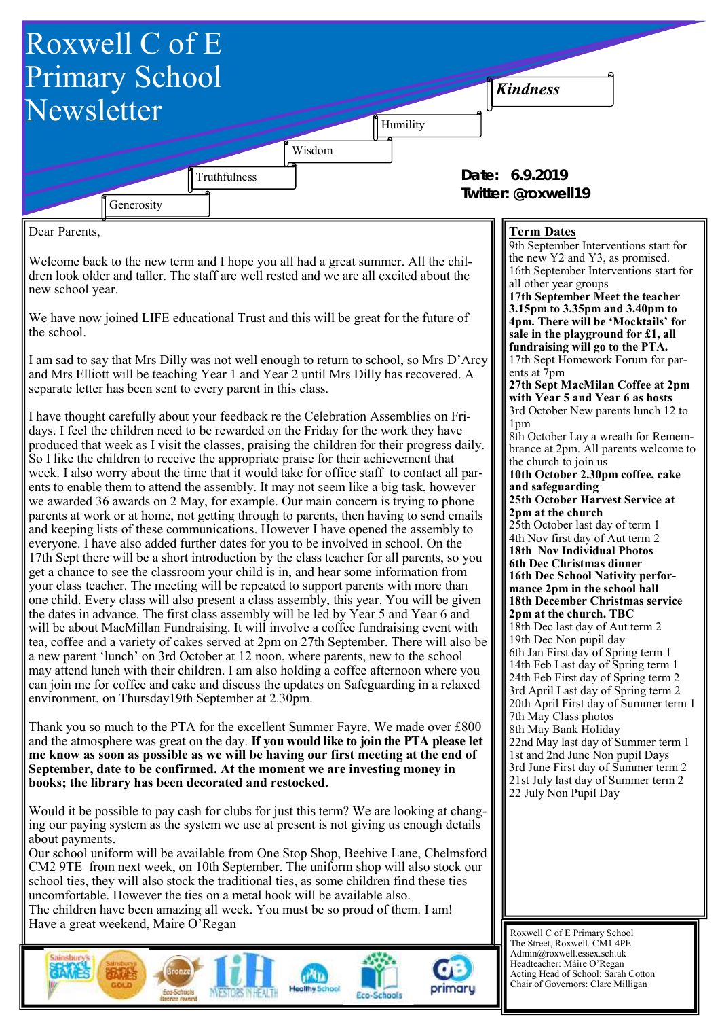

Roxwell C of E Primary School The Street, Roxwell. CM1 4PE Admin@roxwell.essex.sch.uk Headteacher: Máire O'Regan Acting Head of School: Sarah Cotton Chair of Governors: Clare Milligan